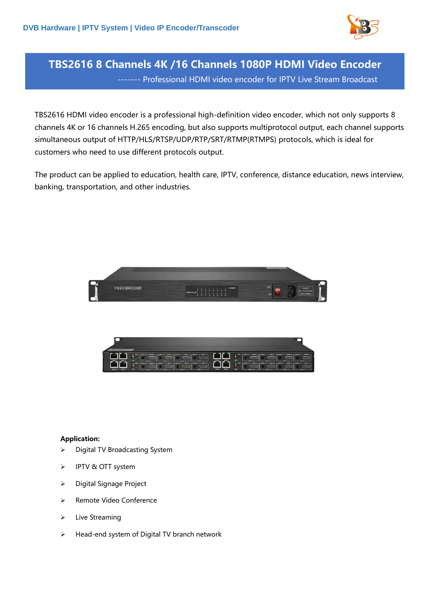

## **TBS2616 8 Channels 4K /16 Channels 1080P HDMI Video Encoder** ------- Professional HDMI video encoder for IPTV Live Stream Broadcast

TBS2616 HDMI video encoder is a professional high-definition video encoder, which not only supports 8 channels 4K or 16 channels H.265 encoding, but also supports multiprotocol output, each channel supports simultaneous output of HTTP/HLS/RTSP/UDP/RTP/SRT/RTMP(RTMPS) protocols, which is ideal for customers who need to use different protocols output.

The product can be applied to education, health care, IPTV, conference, distance education, news interview, banking, transportation, and other industries.



| <b>CRAIG CATE</b>             |                                                                                                                                                                                                                                                                            |                                               |                                                                           |
|-------------------------------|----------------------------------------------------------------------------------------------------------------------------------------------------------------------------------------------------------------------------------------------------------------------------|-----------------------------------------------|---------------------------------------------------------------------------|
| <b>LICAT 2</b><br><b>OATA</b> | $-14001 - 10411 -$<br>HOME2<br>$10003 -$<br>AJD02=<br><b>KIOO</b> E<br><b>LOO3</b><br><b>TEO</b><br><b>IMPUT 1 mm</b><br><b>BARLET</b><br>$-40005 - 10M5 -$<br>$= 10M L - 1$<br>$1 - 1000$<br><b>MOVES</b><br><b>LED</b><br><b>INFUTZ</b><br><b>NPUT</b><br><b>PUPILET</b> | DATA 3<br><b>MORT</b><br>CATAE<br><b>MOTA</b> | <b>LED</b><br><b><i>PARTICULARE</i></b><br><b>HEXE</b><br>.<br><b>LED</b> |

## **Application:**

- ➢ Digital TV Broadcasting System
- ➢ IPTV & OTT system
- ➢ Digital Signage Project
- ➢ Remote Video Conference
- ➢ Live Streaming
- ➢ Head-end system of Digital TV branch network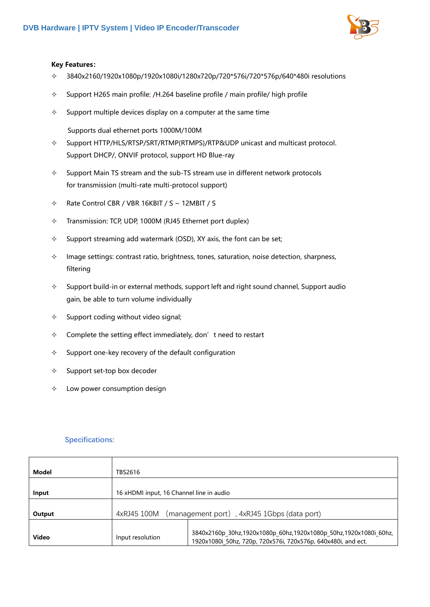

## **Key Features:**

- $\div$  3840x2160/1920x1080p/1920x1080i/1280x720p/720\*576i/720\*576p/640\*480i resolutions
- $\div$  Support H265 main profile; /H.264 baseline profile / main profile/ high profile
- $\Diamond$  Support multiple devices display on a computer at the same time

Supports dual ethernet ports 1000M/100M

- $\Diamond$  Support HTTP/HLS/RTSP/SRT/RTMP(RTMPS)/RTP&UDP unicast and multicast protocol. Support DHCP/, ONVIF protocol, support HD Blue-ray
- $\Diamond$  Support Main TS stream and the sub-TS stream use in different network protocols for transmission (multi-rate multi-protocol support)
- $\div$  Rate Control CBR / VBR 16KBIT / S ~ 12MBIT / S
- $\div$  Transmission: TCP, UDP, 1000M (RJ45 Ethernet port duplex)
- $\Diamond$  Support streaming add watermark (OSD), XY axis, the font can be set;
- $\Diamond$  Image settings: contrast ratio, brightness, tones, saturation, noise detection, sharpness, filtering
- $\Diamond$  Support build-in or external methods, support left and right sound channel, Support audio gain, be able to turn volume individually
- $\Diamond$  Support coding without video signal;
- $\Diamond$  Complete the setting effect immediately, don't need to restart
- $\Diamond$  Support one-key recovery of the default configuration
- $\diamond$  Support set-top box decoder
- $\Diamond$  Low power consumption design

## **Specifications:**

| Model        | TBS2616                                                    |                                                                                                                                   |
|--------------|------------------------------------------------------------|-----------------------------------------------------------------------------------------------------------------------------------|
|              |                                                            |                                                                                                                                   |
| Input        | 16 xHDMI input, 16 Channel line in audio                   |                                                                                                                                   |
| Output       | (management port), 4xRJ45 1Gbps (data port)<br>4xRJ45 100M |                                                                                                                                   |
| <b>Video</b> | Input resolution                                           | 3840x2160p 30hz,1920x1080p 60hz,1920x1080p 50hz,1920x1080i 60hz,<br>1920x1080i 50hz, 720p, 720x576i, 720x576p, 640x480i, and ect. |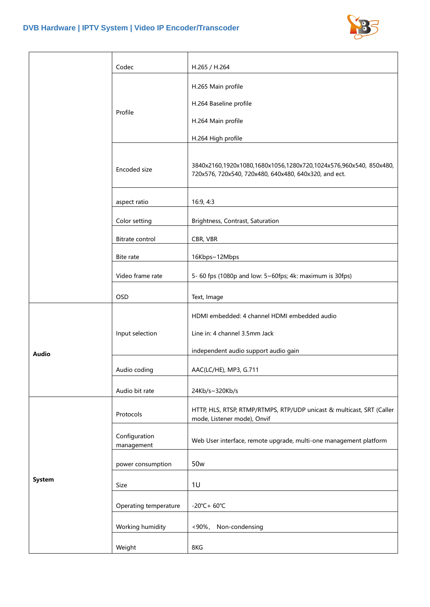

|               | Codec                       | H.265 / H.264                                                                                                              |
|---------------|-----------------------------|----------------------------------------------------------------------------------------------------------------------------|
|               |                             | H.265 Main profile                                                                                                         |
|               | Profile                     | H.264 Baseline profile                                                                                                     |
|               |                             | H.264 Main profile                                                                                                         |
|               |                             | H.264 High profile                                                                                                         |
|               | Encoded size                | 3840x2160,1920x1080,1680x1056,1280x720,1024x576,960x540, 850x480,<br>720x576, 720x540, 720x480, 640x480, 640x320, and ect. |
|               | aspect ratio                | 16:9, 4:3                                                                                                                  |
|               | Color setting               | Brightness, Contrast, Saturation                                                                                           |
|               | Bitrate control             | CBR, VBR                                                                                                                   |
|               | Bite rate                   | 16Kbps~12Mbps                                                                                                              |
|               | Video frame rate            | 5- 60 fps (1080p and low: 5~60fps; 4k: maximum is 30fps)                                                                   |
|               | <b>OSD</b>                  | Text, Image                                                                                                                |
|               | Input selection             | HDMI embedded: 4 channel HDMI embedded audio                                                                               |
|               |                             | Line in: 4 channel 3.5mm Jack                                                                                              |
| <b>Audio</b>  |                             | independent audio support audio gain                                                                                       |
|               | Audio coding                | AAC(LC/HE), MP3, G.711                                                                                                     |
|               | Audio bit rate              | 24Kb/s~320Kb/s                                                                                                             |
|               | Protocols                   | HTTP, HLS, RTSP, RTMP/RTMPS, RTP/UDP unicast & multicast, SRT (Caller<br>mode, Listener mode), Onvif                       |
|               | Configuration<br>management | Web User interface, remote upgrade, multi-one management platform                                                          |
|               | power consumption           | 50 <sub>w</sub>                                                                                                            |
| <b>System</b> | Size                        | 1U                                                                                                                         |
|               | Operating temperature       | $-20^{\circ}$ C+ 60 $^{\circ}$ C                                                                                           |
|               | Working humidity            | Non-condensing<br>$< 90\%$ ,                                                                                               |
|               | Weight                      | 8KG                                                                                                                        |